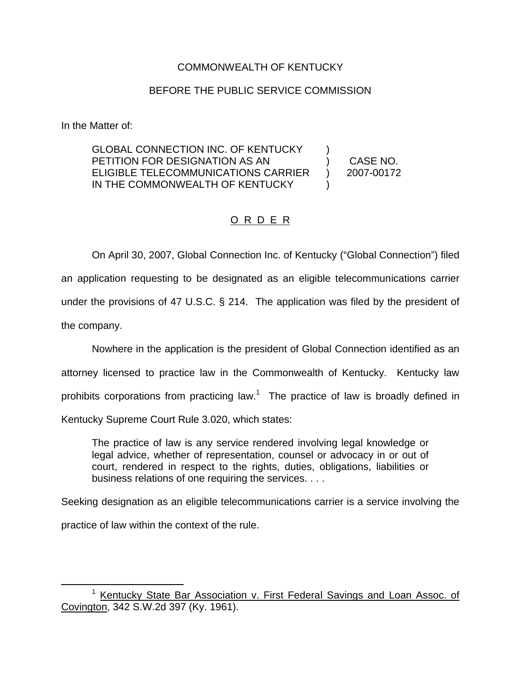## COMMONWEALTH OF KENTUCKY

## BEFORE THE PUBLIC SERVICE COMMISSION

In the Matter of:

GLOBAL CONNECTION INC. OF KENTUCKY PETITION FOR DESIGNATION AS AN ELIGIBLE TELECOMMUNICATIONS CARRIER IN THE COMMONWEALTH OF KENTUCKY ) )

) CASE NO. ) 2007-00172

## O R D E R

On April 30, 2007, Global Connection Inc. of Kentucky ("Global Connection") filed an application requesting to be designated as an eligible telecommunications carrier under the provisions of 47 U.S.C. § 214. The application was filed by the president of the company.

Nowhere in the application is the president of Global Connection identified as an attorney licensed to practice law in the Commonwealth of Kentucky. Kentucky law prohibits corporations from practicing law.<sup>1</sup> The practice of law is broadly defined in Kentucky Supreme Court Rule 3.020, which states:

The practice of law is any service rendered involving legal knowledge or legal advice, whether of representation, counsel or advocacy in or out of court, rendered in respect to the rights, duties, obligations, liabilities or business relations of one requiring the services. . . .

Seeking designation as an eligible telecommunications carrier is a service involving the practice of law within the context of the rule.

<sup>&</sup>lt;sup>1</sup> Kentucky State Bar Association v. First Federal Savings and Loan Assoc. of Covington, 342 S.W.2d 397 (Ky. 1961).